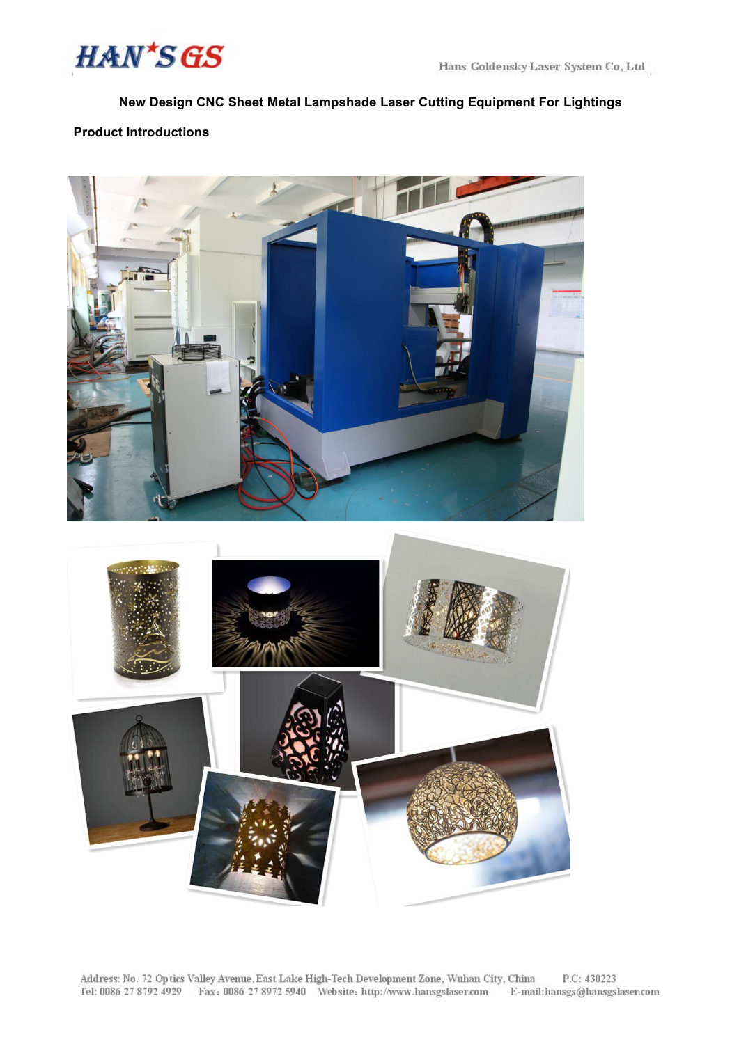

## **New Design CNC Sheet Metal Lampshade Laser Cutting Equipment For Lightings**

# **Product Introductions**



Address: No. 72 Optics Valley Avenue, East Lake High-Tech Development Zone, Wuhan City, China<br>Tel: 0086 27 8792 4929 Fax: 0086 27 8972 5940 Website: http://www.hansgslaser.com E-mai P.C: 430223 E-mail: hansgs@hansgslaser.com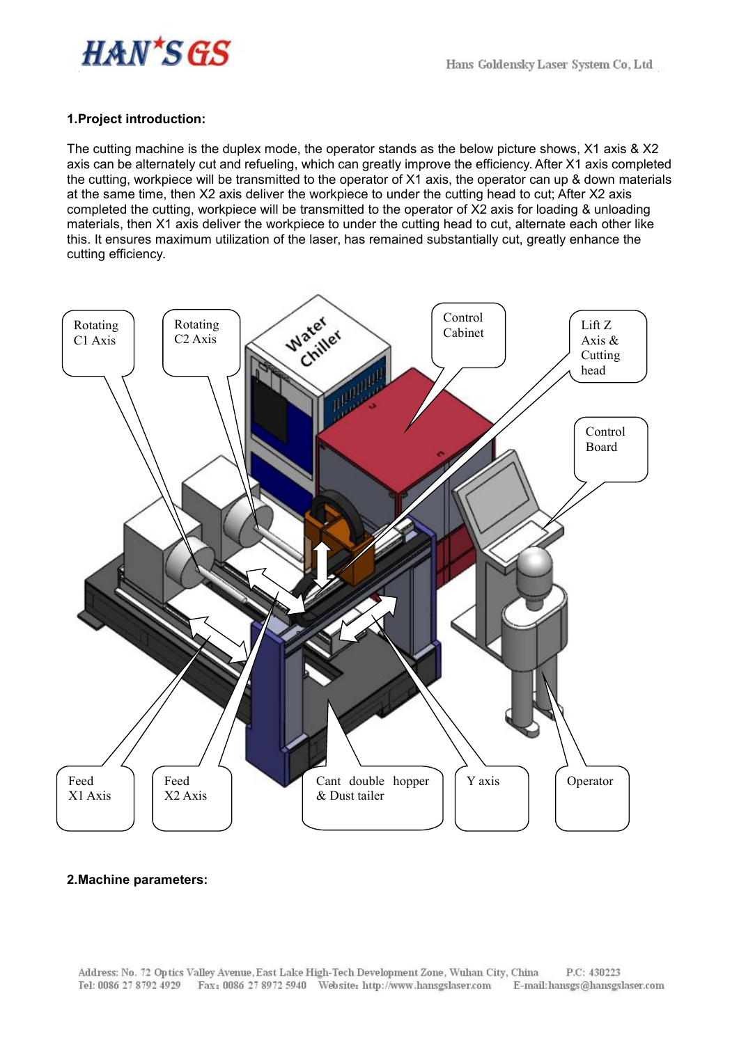

### **1.Project introduction:**

The cutting machine is the duplex mode, the operator stands as the below picture shows, X1 axis & X2 axis can be alternately cut and refueling, which can greatly improve the efficiency. After X1 axis completed the cutting, workpiece will be transmitted to the operator of X1 axis, the operator can up & down materials at the same time, then X2 axis deliver the workpiece to under the cutting head to cut; After X2 axis completed the cutting, workpiece will be transmitted to the operator of X2 axis for loading & unloading materials, then X1 axis deliver the workpiece to under the cutting head to cut, alternate each other like this. It ensures maximum utilization of the laser, has remained substantially cut, greatly enhance the cutting efficiency.



#### **2.Machine parameters:**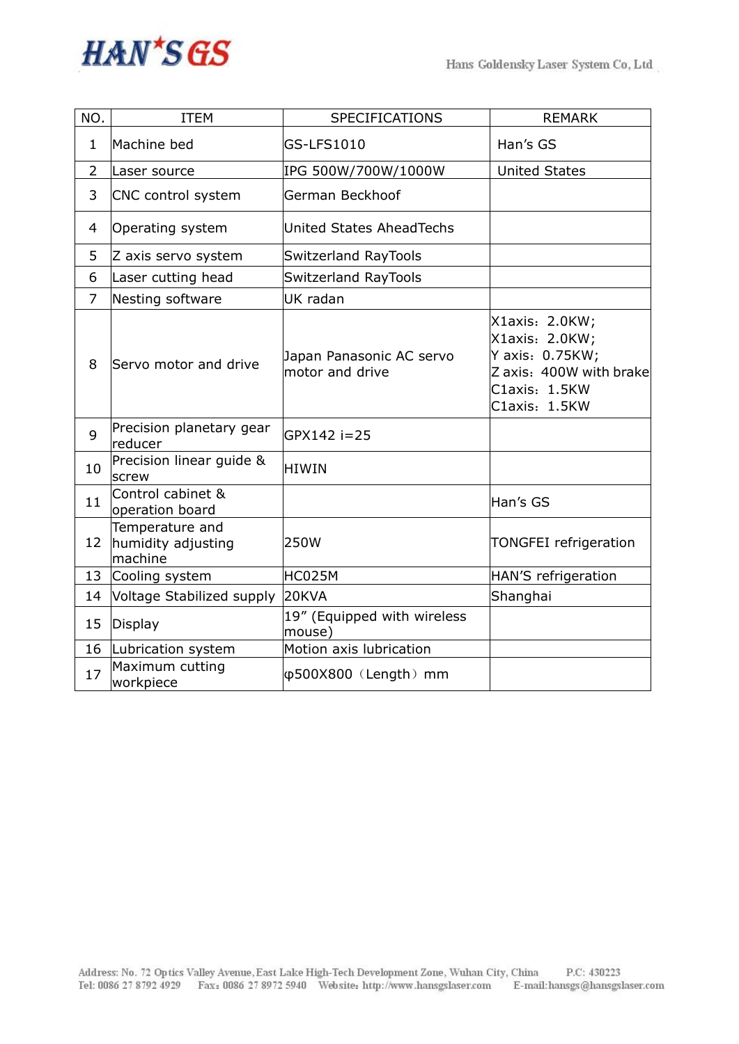

| NO.            | <b>ITEM</b>                                      | <b>SPECIFICATIONS</b>                       | <b>REMARK</b>                                                                                                    |
|----------------|--------------------------------------------------|---------------------------------------------|------------------------------------------------------------------------------------------------------------------|
| $\mathbf{1}$   | Machine bed                                      | GS-LFS1010                                  | Han's GS                                                                                                         |
| $\overline{2}$ | Laser source                                     | IPG 500W/700W/1000W                         | <b>United States</b>                                                                                             |
| 3              | CNC control system                               | German Beckhoof                             |                                                                                                                  |
| 4              | Operating system                                 | United States AheadTechs                    |                                                                                                                  |
| 5              | Z axis servo system                              | Switzerland RayTools                        |                                                                                                                  |
| 6              | Laser cutting head                               | <b>Switzerland RayTools</b>                 |                                                                                                                  |
| $\overline{7}$ | Nesting software                                 | UK radan                                    |                                                                                                                  |
| 8              | Servo motor and drive                            | Japan Panasonic AC servo<br>motor and drive | X1axis: 2.0KW;<br>X1axis: 2.0KW;<br>Y axis: 0.75KW;<br>Z axis: 400W with brake<br>C1axis: 1.5KW<br>C1axis: 1.5KW |
| 9              | Precision planetary gear<br>reducer              | GPX142 i=25                                 |                                                                                                                  |
| 10             | Precision linear guide &<br>screw                | HIWIN                                       |                                                                                                                  |
| 11             | Control cabinet &<br>operation board             |                                             | Han's GS                                                                                                         |
| 12             | Temperature and<br>humidity adjusting<br>machine | 250W                                        | <b>TONGFEI</b> refrigeration                                                                                     |
| 13             | Cooling system                                   | HC025M                                      | HAN'S refrigeration                                                                                              |
| 14             | Voltage Stabilized supply                        | 20KVA                                       | Shanghai                                                                                                         |
| 15             | Display                                          | 19" (Equipped with wireless<br>mouse)       |                                                                                                                  |
| 16             | Lubrication system                               | Motion axis lubrication                     |                                                                                                                  |
| 17             | Maximum cutting<br>workpiece                     | $\phi$ 500X800 (Length) mm                  |                                                                                                                  |